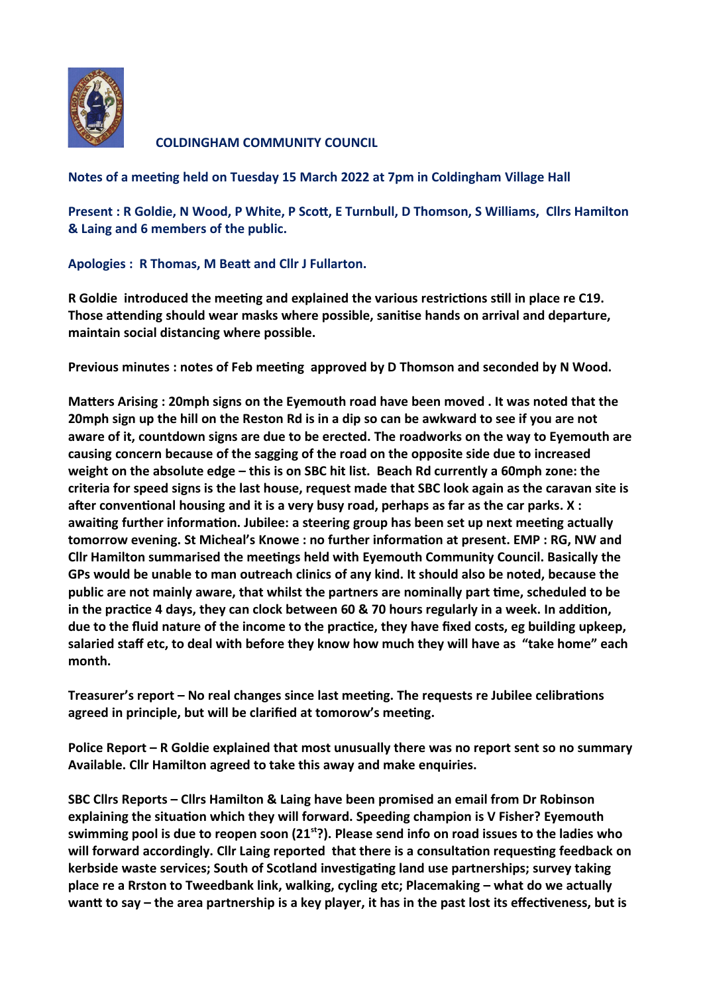

**COLDINGHAM COMMUNITY COUNCIL** 

**Notes of a meeting held on Tuesday 15 March 2022 at 7pm in Coldingham Village Hall**

**Present : R Goldie, N Wood, P White, P Scott, E Turnbull, D Thomson, S Williams, Cllrs Hamilton & Laing and 6 members of the public.**

**Apologies : R Thomas, M Beatt and Cllr J Fullarton.**

**R Goldie introduced the meeting and explained the various restrictions still in place re C19. Those attending should wear masks where possible, sanitise hands on arrival and departure, maintain social distancing where possible.** 

**Previous minutes : notes of Feb meeting approved by D Thomson and seconded by N Wood.** 

**Matters Arising : 20mph signs on the Eyemouth road have been moved . It was noted that the 20mph sign up the hill on the Reston Rd is in a dip so can be awkward to see if you are not aware of it, countdown signs are due to be erected. The roadworks on the way to Eyemouth are causing concern because of the sagging of the road on the opposite side due to increased weight on the absolute edge – this is on SBC hit list. Beach Rd currently a 60mph zone: the criteria for speed signs is the last house, request made that SBC look again as the caravan site is after conventional housing and it is a very busy road, perhaps as far as the car parks. X : awaiting further information. Jubilee: a steering group has been set up next meeting actually tomorrow evening. St Micheal's Knowe : no further information at present. EMP : RG, NW and Cllr Hamilton summarised the meetings held with Eyemouth Community Council. Basically the GPs would be unable to man outreach clinics of any kind. It should also be noted, because the public are not mainly aware, that whilst the partners are nominally part time, scheduled to be in the practice 4 days, they can clock between 60 & 70 hours regularly in a week. In addition, due to the fluid nature of the income to the practice, they have fixed costs, eg building upkeep, salaried staff etc, to deal with before they know how much they will have as "take home" each month.** 

**Treasurer's report – No real changes since last meeting. The requests re Jubilee celibrations agreed in principle, but will be clarified at tomorow's meeting.**

**Police Report – R Goldie explained that most unusually there was no report sent so no summary Available. Cllr Hamilton agreed to take this away and make enquiries.**

**SBC Cllrs Reports – Cllrs Hamilton & Laing have been promised an email from Dr Robinson explaining the situation which they will forward. Speeding champion is V Fisher? Eyemouth swimming pool is due to reopen soon (21st?). Please send info on road issues to the ladies who will forward accordingly. Cllr Laing reported that there is a consultation requesting feedback on kerbside waste services; South of Scotland investigating land use partnerships; survey taking place re a Rrston to Tweedbank link, walking, cycling etc; Placemaking – what do we actually wantt to say – the area partnership is a key player, it has in the past lost its effectiveness, but is**